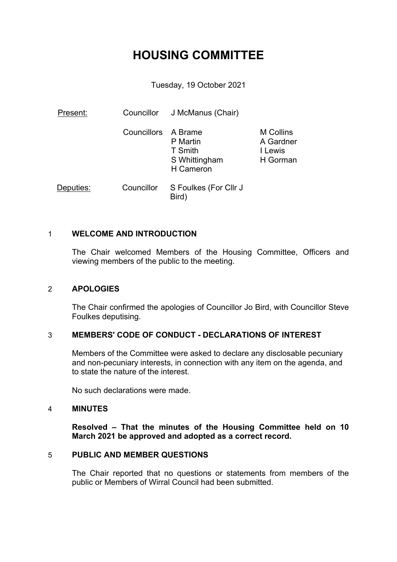# **HOUSING COMMITTEE**

Tuesday, 19 October 2021

| Present:  |                     | Councillor J McManus (Chair)                      |                                                      |
|-----------|---------------------|---------------------------------------------------|------------------------------------------------------|
|           | Councillors A Brame | P Martin<br>T Smith<br>S Whittingham<br>H Cameron | <b>M</b> Collins<br>A Gardner<br>I Lewis<br>H Gorman |
| Deputies: | Councillor          | S Foulkes (For Cllr J<br>Bird)                    |                                                      |

## 1 **WELCOME AND INTRODUCTION**

The Chair welcomed Members of the Housing Committee, Officers and viewing members of the public to the meeting.

## 2 **APOLOGIES**

The Chair confirmed the apologies of Councillor Jo Bird, with Councillor Steve Foulkes deputising.

## 3 **MEMBERS' CODE OF CONDUCT - DECLARATIONS OF INTEREST**

Members of the Committee were asked to declare any disclosable pecuniary and non-pecuniary interests, in connection with any item on the agenda, and to state the nature of the interest.

No such declarations were made.

#### 4 **MINUTES**

**Resolved – That the minutes of the Housing Committee held on 10 March 2021 be approved and adopted as a correct record.**

## 5 **PUBLIC AND MEMBER QUESTIONS**

The Chair reported that no questions or statements from members of the public or Members of Wirral Council had been submitted.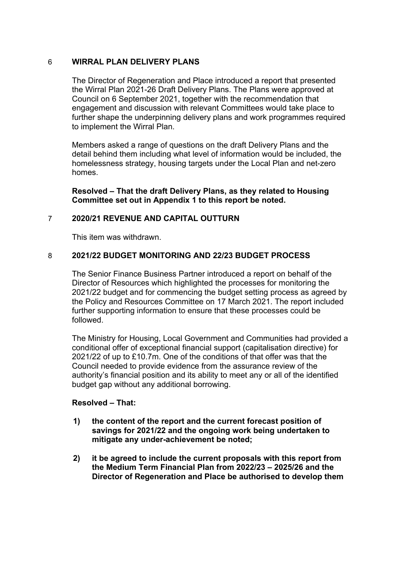# 6 **WIRRAL PLAN DELIVERY PLANS**

The Director of Regeneration and Place introduced a report that presented the Wirral Plan 2021-26 Draft Delivery Plans. The Plans were approved at Council on 6 September 2021, together with the recommendation that engagement and discussion with relevant Committees would take place to further shape the underpinning delivery plans and work programmes required to implement the Wirral Plan.

Members asked a range of questions on the draft Delivery Plans and the detail behind them including what level of information would be included, the homelessness strategy, housing targets under the Local Plan and net-zero homes.

**Resolved – That the draft Delivery Plans, as they related to Housing Committee set out in Appendix 1 to this report be noted.**

# 7 **2020/21 REVENUE AND CAPITAL OUTTURN**

This item was withdrawn.

# 8 **2021/22 BUDGET MONITORING AND 22/23 BUDGET PROCESS**

The Senior Finance Business Partner introduced a report on behalf of the Director of Resources which highlighted the processes for monitoring the 2021/22 budget and for commencing the budget setting process as agreed by the Policy and Resources Committee on 17 March 2021. The report included further supporting information to ensure that these processes could be followed.

The Ministry for Housing, Local Government and Communities had provided a conditional offer of exceptional financial support (capitalisation directive) for 2021/22 of up to £10.7m. One of the conditions of that offer was that the Council needed to provide evidence from the assurance review of the authority's financial position and its ability to meet any or all of the identified budget gap without any additional borrowing.

## **Resolved – That:**

- **1) the content of the report and the current forecast position of savings for 2021/22 and the ongoing work being undertaken to mitigate any under-achievement be noted;**
- **2) it be agreed to include the current proposals with this report from the Medium Term Financial Plan from 2022/23 – 2025/26 and the Director of Regeneration and Place be authorised to develop them**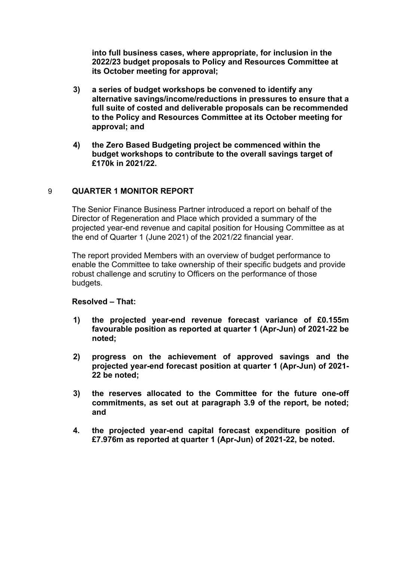**into full business cases, where appropriate, for inclusion in the 2022/23 budget proposals to Policy and Resources Committee at its October meeting for approval;**

- **3) a series of budget workshops be convened to identify any alternative savings/income/reductions in pressures to ensure that a full suite of costed and deliverable proposals can be recommended to the Policy and Resources Committee at its October meeting for approval; and**
- **4) the Zero Based Budgeting project be commenced within the budget workshops to contribute to the overall savings target of £170k in 2021/22.**

#### 9 **QUARTER 1 MONITOR REPORT**

The Senior Finance Business Partner introduced a report on behalf of the Director of Regeneration and Place which provided a summary of the projected year-end revenue and capital position for Housing Committee as at the end of Quarter 1 (June 2021) of the 2021/22 financial year.

The report provided Members with an overview of budget performance to enable the Committee to take ownership of their specific budgets and provide robust challenge and scrutiny to Officers on the performance of those budgets.

#### **Resolved – That:**

- **1) the projected year-end revenue forecast variance of £0.155m favourable position as reported at quarter 1 (Apr-Jun) of 2021-22 be noted;**
- **2) progress on the achievement of approved savings and the projected year-end forecast position at quarter 1 (Apr-Jun) of 2021- 22 be noted;**
- **3) the reserves allocated to the Committee for the future one-off commitments, as set out at paragraph 3.9 of the report, be noted; and**
- **4. the projected year-end capital forecast expenditure position of £7.976m as reported at quarter 1 (Apr-Jun) of 2021-22, be noted.**